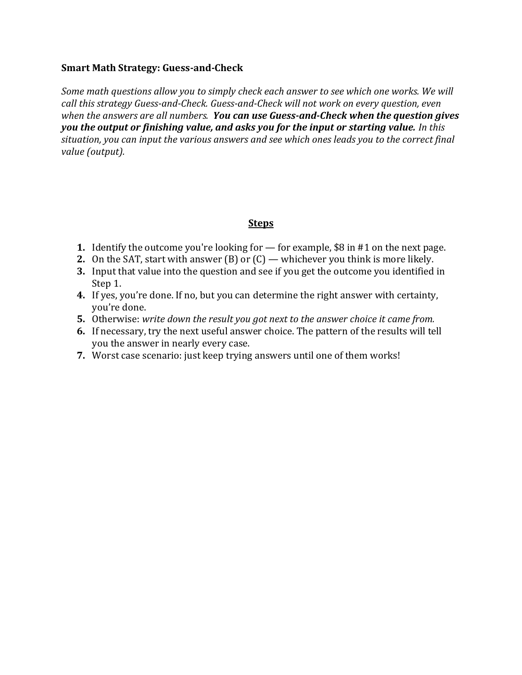## **Smart Math Strategy: Guess-and-Check**

*Some math questions allow you to simply check each answer to see which one works. We will call this strategy Guess-and-Check. Guess-and-Check will not work on every question, even when the answers are all numbers. You can use Guess-and-Check when the question gives you the output or finishing value, and asks you for the input or starting value. In this situation, you can input the various answers and see which ones leads you to the correct final value (output).*

# **Steps**

- **1.** Identify the outcome you're looking for for example, \$8 in #1 on the next page.
- **2.** On the SAT, start with answer (B) or (C) whichever you think is more likely.
- **3.** Input that value into the question and see if you get the outcome you identified in Step 1.
- **4.** If yes, you're done. If no, but you can determine the right answer with certainty, you're done.
- **5.** Otherwise: *write down the result you got next to the answer choice it came from.*
- **6.** If necessary, try the next useful answer choice. The pattern of the results will tell you the answer in nearly every case.
- **7.** Worst case scenario: just keep trying answers until one of them works!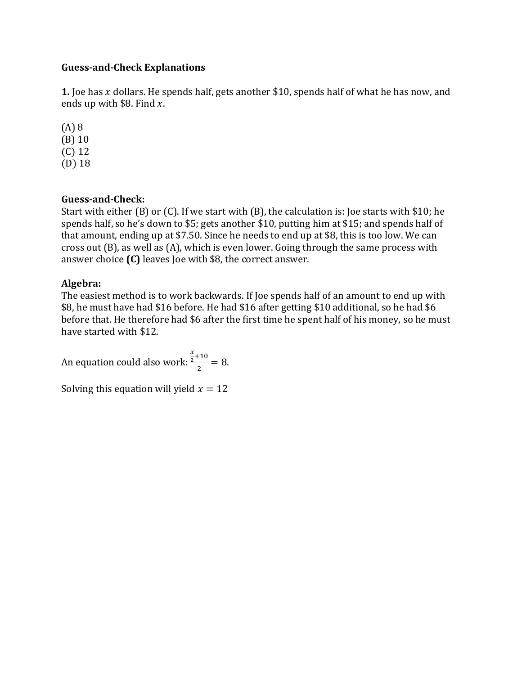## **Guess-and-Check Explanations**

**1.** Joe has  $x$  dollars. He spends half, gets another \$10, spends half of what he has now, and ends up with \$8. Find  $x$ .

(A) 8 (B) 10 (C) 12 (D) 18

# **Guess-and-Check:**

Start with either (B) or (C). If we start with (B), the calculation is: Joe starts with \$10; he spends half, so he's down to \$5; gets another \$10, putting him at \$15; and spends half of that amount, ending up at \$7.50. Since he needs to end up at \$8, this is too low. We can cross out (B), as well as (A), which is even lower. Going through the same process with answer choice **(C)** leaves Joe with \$8, the correct answer.

# **Algebra:**

The easiest method is to work backwards. If Joe spends half of an amount to end up with \$8, he must have had \$16 before. He had \$16 after getting \$10 additional, so he had \$6 before that. He therefore had \$6 after the first time he spent half of his money, so he must have started with \$12.

An equation could also work:  $\boldsymbol{\chi}$  $\frac{2}{2}+10$  $\frac{12}{2} = 8.$ 

Solving this equation will yield  $x = 12$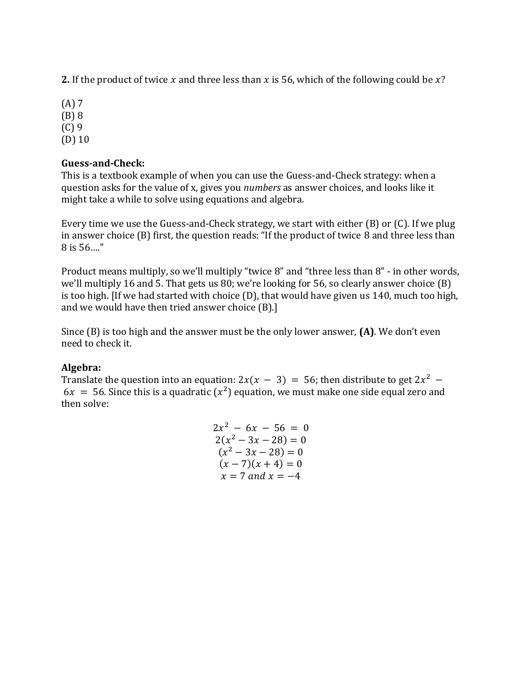**2.** If the product of twice x and three less than x is 56, which of the following could be  $x$ ?

(A) 7 (B) 8 (C) 9 (D) 10

# **Guess-and-Check:**

This is a textbook example of when you can use the Guess-and-Check strategy: when a question asks for the value of x, gives you *numbers* as answer choices, and looks like it might take a while to solve using equations and algebra.

Every time we use the Guess-and-Check strategy, we start with either (B) or (C). If we plug in answer choice (B) first, the question reads: "If the product of twice 8 and three less than 8 is 56…."

Product means multiply, so we'll multiply "twice 8" and "three less than 8" - in other words, we'll multiply 16 and 5. That gets us 80; we're looking for 56, so clearly answer choice (B) is too high. [If we had started with choice (D), that would have given us 140, much too high, and we would have then tried answer choice (B).]

Since (B) is too high and the answer must be the only lower answer, **(A)**. We don't even need to check it.

# **Algebra:**

Translate the question into an equation:  $2x(x - 3) = 56$ ; then distribute to get  $2x^2$  –  $6x = 56$ . Since this is a quadratic  $(x^2)$  equation, we must make one side equal zero and then solve:

$$
2x2 - 6x - 56 = 0
$$
  
\n
$$
2(x2 - 3x - 28) = 0
$$
  
\n
$$
(x2 - 3x - 28) = 0
$$
  
\n
$$
(x - 7)(x + 4) = 0
$$
  
\n
$$
x = 7
$$
 and  $x = -4$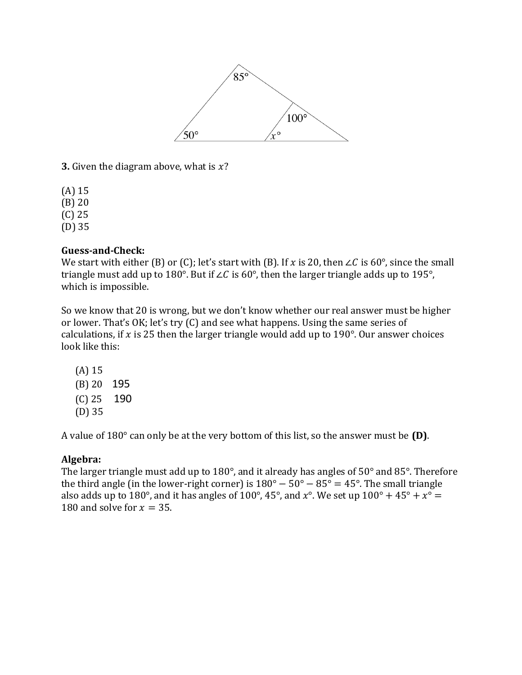

**3.** Given the diagram above, what is  $x$ ?

(A) 15

(B) 20

(C) 25

(D) 35

# **Guess-and-Check:**

We start with either (B) or (C); let's start with (B). If x is 20, then ∠C is 60°, since the small triangle must add up to 180°. But if ∠C is 60°, then the larger triangle adds up to 195°, which is impossible.

So we know that 20 is wrong, but we don't know whether our real answer must be higher or lower. That's OK; let's try (C) and see what happens. Using the same series of calculations, if  $x$  is 25 then the larger triangle would add up to 190 $^{\circ}$ . Our answer choices look like this:

(A) 15 (B) 20 195 (C) 25 190 (D) 35

A value of 180° can only be at the very bottom of this list, so the answer must be **(D)**.

# **Algebra:**

The larger triangle must add up to 180°, and it already has angles of 50° and 85°. Therefore the third angle (in the lower-right corner) is  $180^\circ - 50^\circ - 85^\circ = 45^\circ$ . The small triangle also adds up to 180°, and it has angles of 100°, 45°, and  $x$ °. We set up 100° + 45° +  $x$ ° = 180 and solve for  $x = 35$ .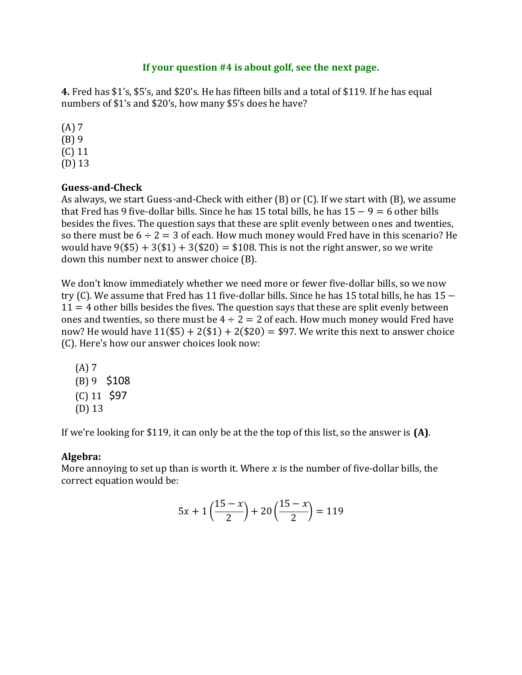## **If your question #4 is about golf, see the next page.**

**4.** Fred has \$1's, \$5's, and \$20's. He has fifteen bills and a total of \$119. If he has equal numbers of \$1's and \$20's, how many \$5's does he have?

(A) 7 (B) 9 (C) 11 (D) 13

## **Guess-and-Check**

As always, we start Guess-and-Check with either (B) or (C). If we start with (B), we assume that Fred has 9 five-dollar bills. Since he has 15 total bills, he has  $15 - 9 = 6$  other bills besides the fives. The question says that these are split evenly between ones and twenties, so there must be  $6 \div 2 = 3$  of each. How much money would Fred have in this scenario? He would have  $9(\$5) + 3(\$1) + 3(\$20) = \$108$ . This is not the right answer, so we write down this number next to answer choice (B).

We don't know immediately whether we need more or fewer five-dollar bills, so we now try (C). We assume that Fred has 11 five-dollar bills. Since he has 15 total bills, he has 15 −  $11 = 4$  other bills besides the fives. The question says that these are split evenly between ones and twenties, so there must be  $4 \div 2 = 2$  of each. How much money would Fred have now? He would have  $11(\text{$}5) + 2(\text{$}1) + 2(\text{$}20) = \text{$}97$ . We write this next to answer choice (C). Here's how our answer choices look now:

(A) 7 (B) 9 \$108  $(C)$  11 \$97 (D) 13

If we're looking for \$119, it can only be at the the top of this list, so the answer is **(A)**.

## **Algebra:**

More annoying to set up than is worth it. Where  $x$  is the number of five-dollar bills, the correct equation would be:

$$
5x + 1\left(\frac{15 - x}{2}\right) + 20\left(\frac{15 - x}{2}\right) = 119
$$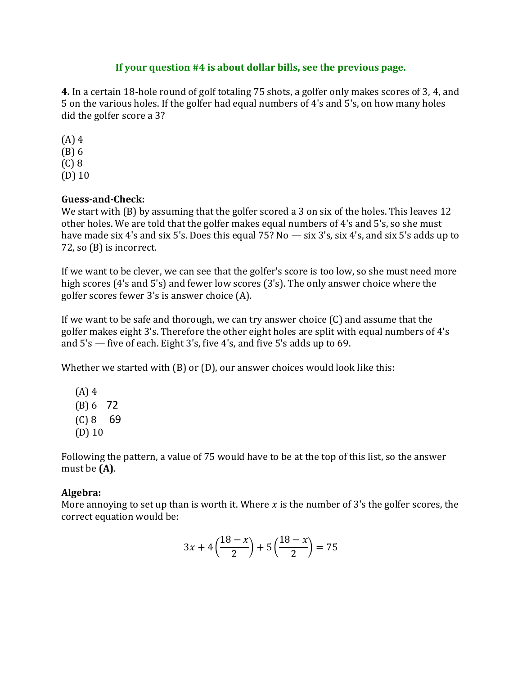## **If your question #4 is about dollar bills, see the previous page.**

**4.** In a certain 18-hole round of golf totaling 75 shots, a golfer only makes scores of 3, 4, and 5 on the various holes. If the golfer had equal numbers of 4's and 5's, on how many holes did the golfer score a 3?

(A) 4 (B) 6 (C) 8 (D) 10

# **Guess-and-Check:**

We start with (B) by assuming that the golfer scored a 3 on six of the holes. This leaves 12 other holes. We are told that the golfer makes equal numbers of 4's and 5's, so she must have made six 4's and six 5's. Does this equal 75? No — six 3's, six 4's, and six 5's adds up to 72, so (B) is incorrect.

If we want to be clever, we can see that the golfer's score is too low, so she must need more high scores (4's and 5's) and fewer low scores (3's). The only answer choice where the golfer scores fewer 3's is answer choice (A).

If we want to be safe and thorough, we can try answer choice (C) and assume that the golfer makes eight 3's. Therefore the other eight holes are split with equal numbers of 4's and 5's — five of each. Eight 3's, five 4's, and five 5's adds up to 69.

Whether we started with (B) or (D), our answer choices would look like this:

(A) 4 (B) 6 72  $(C) 8 69$ (D) 10

Following the pattern, a value of 75 would have to be at the top of this list, so the answer must be **(A)**.

# **Algebra:**

More annoying to set up than is worth it. Where  $x$  is the number of 3's the golfer scores, the correct equation would be:

$$
3x + 4\left(\frac{18 - x}{2}\right) + 5\left(\frac{18 - x}{2}\right) = 75
$$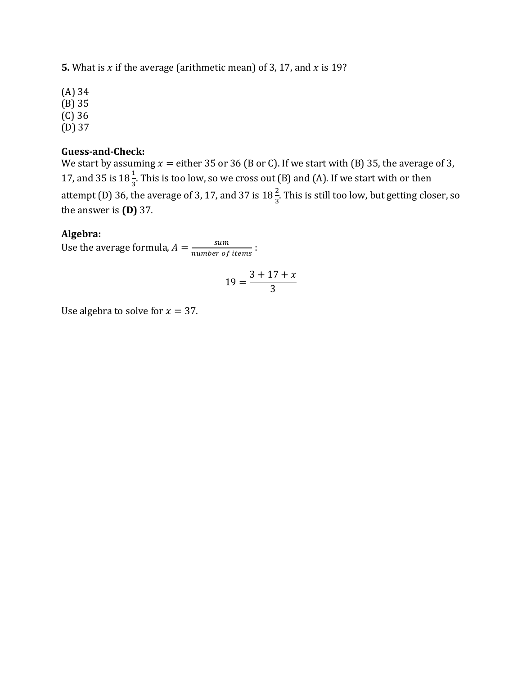**5.** What is  $x$  if the average (arithmetic mean) of 3, 17, and  $x$  is 19?

(A) 34 (B) 35 (C) 36 (D) 37

#### **Guess-and-Check:**

We start by assuming  $x =$  either 35 or 36 (B or C). If we start with (B) 35, the average of 3, 17, and 35 is  $18\frac{1}{3}$ . This is too low, so we cross out (B) and (A). If we start with or then attempt (D) 36, the average of 3, 17, and 37 is  $18\frac{2}{3}$ . This is still too low, but getting closer, so the answer is **(D)** 37.

#### **Algebra:**

Use the average formula,  $A = \frac{sum}{number}$  $\frac{sum}{number\ of\ items}:$ 

$$
19 = \frac{3 + 17 + x}{3}
$$

Use algebra to solve for  $x = 37$ .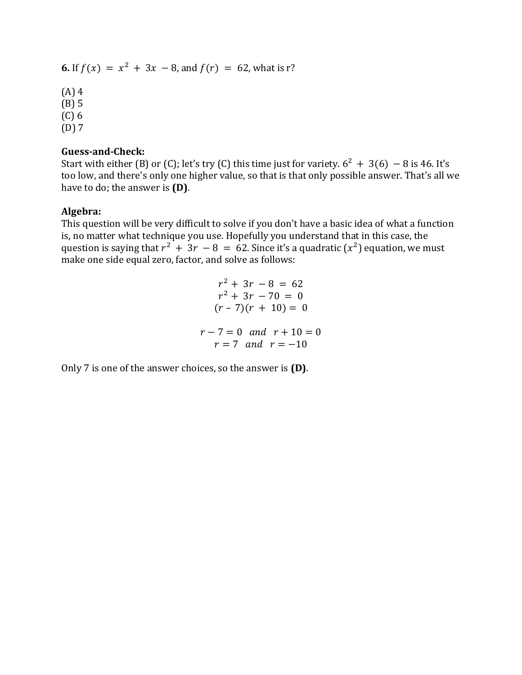**6.** If  $f(x) = x^2 + 3x - 8$ , and  $f(r) = 62$ , what is r?

- (A) 4 (B) 5
- (C) 6
- $(D)$  7

## **Guess-and-Check:**

Start with either (B) or (C); let's try (C) this time just for variety.  $6^2 + 3(6) - 8$  is 46. It's too low, and there's only one higher value, so that is that only possible answer. That's all we have to do; the answer is **(D)**.

### **Algebra:**

This question will be very difficult to solve if you don't have a basic idea of what a function is, no matter what technique you use. Hopefully you understand that in this case, the question is saying that  $r^2 + 3r - 8 = 62$ . Since it's a quadratic  $(x^2)$  equation, we must make one side equal zero, factor, and solve as follows:

$$
r^{2} + 3r - 8 = 62
$$
  
\n
$$
r^{2} + 3r - 70 = 0
$$
  
\n
$$
(r - 7)(r + 10) = 0
$$
  
\n
$$
r - 7 = 0 \text{ and } r + 10 = 0
$$
  
\n
$$
r = 7 \text{ and } r = -10
$$

Only 7 is one of the answer choices, so the answer is **(D)**.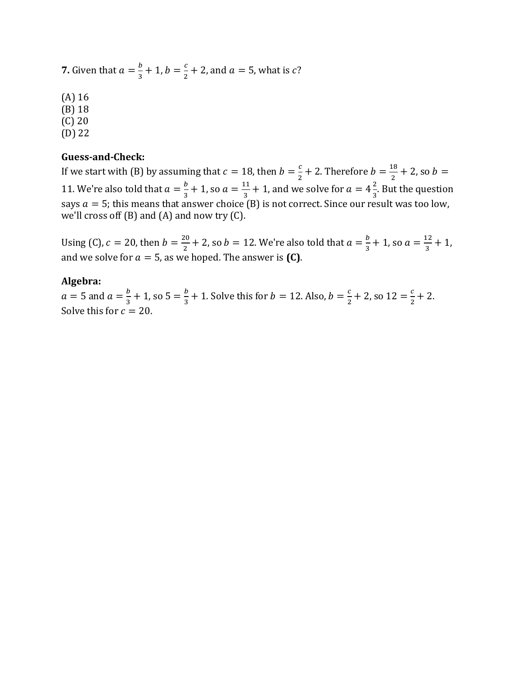**7.** Given that  $a = \frac{b}{2}$  $\frac{b}{3} + 1$ ,  $b = \frac{c}{2}$  $\frac{c}{2}$  + 2, and  $a = 5$ , what is *c*?

(A) 16 (B) 18 (C) 20

(D) 22

#### **Guess-and-Check:**

If we start with (B) by assuming that  $c = 18$ , then  $b = \frac{c}{3}$  $\frac{c}{2}$  + 2. Therefore  $b = \frac{18}{2}$  $\frac{16}{2}$  + 2, so b = 11. We're also told that  $a = \frac{b}{a}$  $\frac{b}{3} + 1$ , so  $a = \frac{11}{3}$  $\frac{11}{3}$  + 1, and we solve for  $a = 4\frac{2}{3}$  $\frac{2}{3}$ . But the question says  $a = 5$ ; this means that answer choice (B) is not correct. Since our result was too low, we'll cross off  $(B)$  and  $(A)$  and now try  $(C)$ .

Using (C),  $c = 20$ , then  $b = \frac{20}{3}$  $\frac{20}{2}$  + 2, so  $b = 12$ . We're also told that  $a = \frac{b}{3}$  $\frac{b}{3}$  + 1, so  $a = \frac{12}{3}$  $\frac{12}{3} + 1$ , and we solve for  $a = 5$ , as we hoped. The answer is **(C)**.

#### **Algebra:**

 $a = 5$  and  $a = \frac{b}{3}$  $\frac{b}{3}$  + 1, so 5 =  $\frac{b}{3}$  $\frac{b}{3}$  + 1. Solve this for  $b = 12$ . Also,  $b = \frac{c}{2}$  $\frac{c}{2}$  + 2, so 12 =  $\frac{c}{2}$  $\frac{c}{2} + 2$ . Solve this for  $c = 20$ .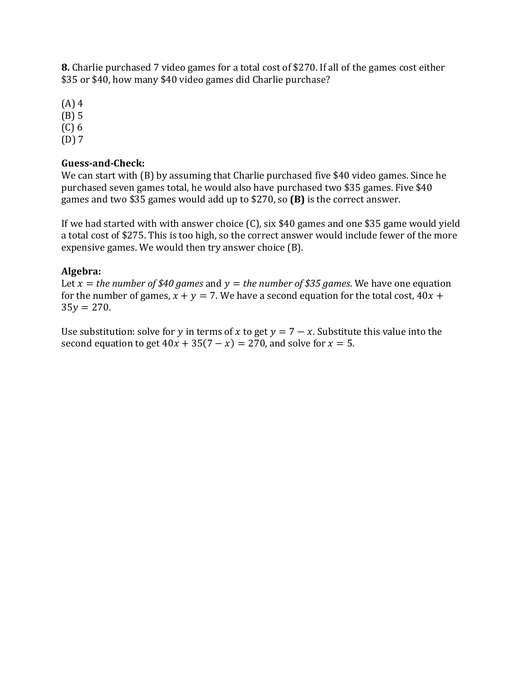**8.** Charlie purchased 7 video games for a total cost of \$270. If all of the games cost either \$35 or \$40, how many \$40 video games did Charlie purchase?

(A) 4

(B) 5

(C) 6

(D) 7

# **Guess-and-Check:**

We can start with (B) by assuming that Charlie purchased five \$40 video games. Since he purchased seven games total, he would also have purchased two \$35 games. Five \$40 games and two \$35 games would add up to \$270, so **(B)** is the correct answer.

If we had started with with answer choice (C), six \$40 games and one \$35 game would yield a total cost of \$275. This is too high, so the correct answer would include fewer of the more expensive games. We would then try answer choice (B).

# **Algebra:**

Let  $x =$  *the number of \$40 games* and  $y =$  *the number of \$35 games.* We have one equation for the number of games,  $x + y = 7$ . We have a second equation for the total cost,  $40x +$  $35y = 270$ .

Use substitution: solve for y in terms of x to get  $y = 7 - x$ . Substitute this value into the second equation to get  $40x + 35(7 - x) = 270$ , and solve for  $x = 5$ .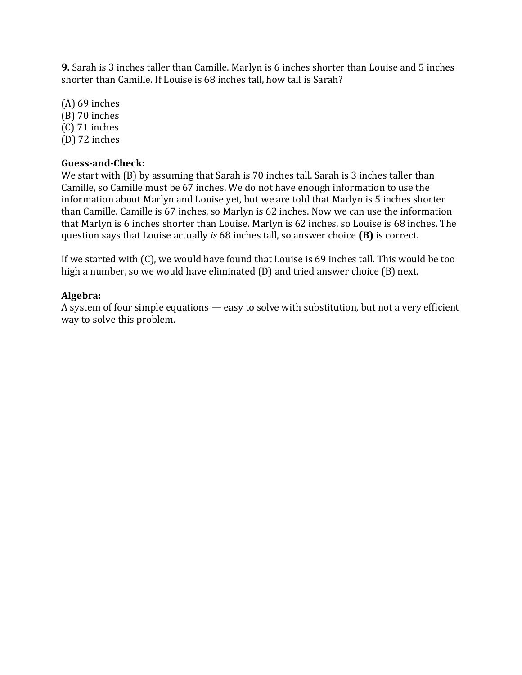**9.** Sarah is 3 inches taller than Camille. Marlyn is 6 inches shorter than Louise and 5 inches shorter than Camille. If Louise is 68 inches tall, how tall is Sarah?

(A) 69 inches (B) 70 inches (C) 71 inches (D) 72 inches

# **Guess-and-Check:**

We start with (B) by assuming that Sarah is 70 inches tall. Sarah is 3 inches taller than Camille, so Camille must be 67 inches. We do not have enough information to use the information about Marlyn and Louise yet, but we are told that Marlyn is 5 inches shorter than Camille. Camille is 67 inches, so Marlyn is 62 inches. Now we can use the information that Marlyn is 6 inches shorter than Louise. Marlyn is 62 inches, so Louise is 68 inches. The question says that Louise actually *is* 68 inches tall, so answer choice **(B)** is correct.

If we started with (C), we would have found that Louise is 69 inches tall. This would be too high a number, so we would have eliminated (D) and tried answer choice (B) next.

## **Algebra:**

A system of four simple equations — easy to solve with substitution, but not a very efficient way to solve this problem.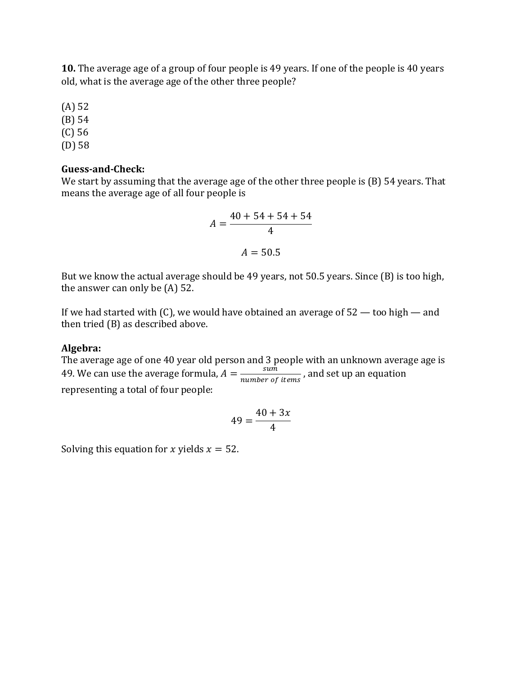**10.** The average age of a group of four people is 49 years. If one of the people is 40 years old, what is the average age of the other three people?

(A) 52

(B) 54

(C) 56

(D) 58

### **Guess-and-Check:**

We start by assuming that the average age of the other three people is (B) 54 years. That means the average age of all four people is

$$
A = \frac{40 + 54 + 54 + 54}{4}
$$
  

$$
A = 50.5
$$

But we know the actual average should be 49 years, not 50.5 years. Since (B) is too high, the answer can only be (A) 52.

If we had started with (C), we would have obtained an average of  $52$  — too high — and then tried (B) as described above.

#### **Algebra:**

The average age of one 40 year old person and 3 people with an unknown average age is 49. We can use the average formula,  $A = \frac{\sinh n}{\sinh n}$  $\frac{sum}{number~of~items}$ , and set up an equation representing a total of four people:

$$
49 = \frac{40 + 3x}{4}
$$

Solving this equation for x yields  $x = 52$ .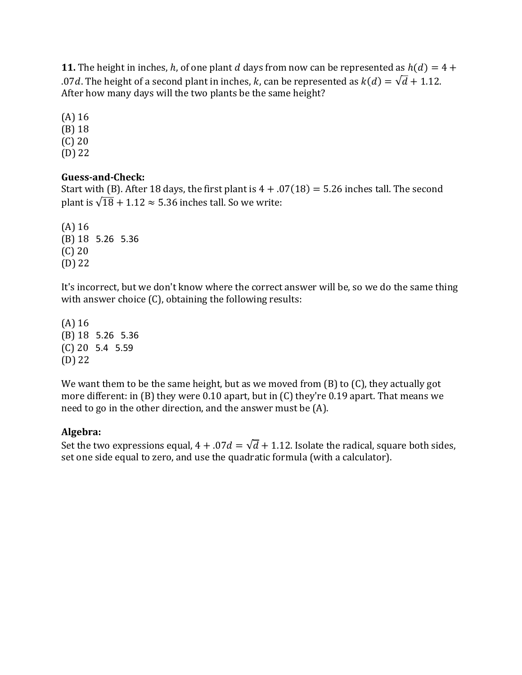**11.** The height in inches, h, of one plant d days from now can be represented as  $h(d) = 4 + 1$ .07d. The height of a second plant in inches, k, can be represented as  $k(d) = \sqrt{d} + 1.12$ . After how many days will the two plants be the same height?

(A) 16 (B) 18

(C) 20

(D) 22

# **Guess-and-Check:**

Start with (B). After 18 days, the first plant is  $4 + .07(18) = 5.26$  inches tall. The second plant is  $\sqrt{18} + 1.12 \approx 5.36$  inches tall. So we write:

(A) 16 (B) 18 5.26 5.36 (C) 20 (D) 22

It's incorrect, but we don't know where the correct answer will be, so we do the same thing with answer choice (C), obtaining the following results:

(A) 16 (B) 18 5.26 5.36 (C) 20 5.4 5.59 (D) 22

We want them to be the same height, but as we moved from (B) to (C), they actually got more different: in (B) they were 0.10 apart, but in (C) they're 0.19 apart. That means we need to go in the other direction, and the answer must be (A).

# **Algebra:**

Set the two expressions equal,  $4 + .07d = \sqrt{d} + 1.12$ . Isolate the radical, square both sides, set one side equal to zero, and use the quadratic formula (with a calculator).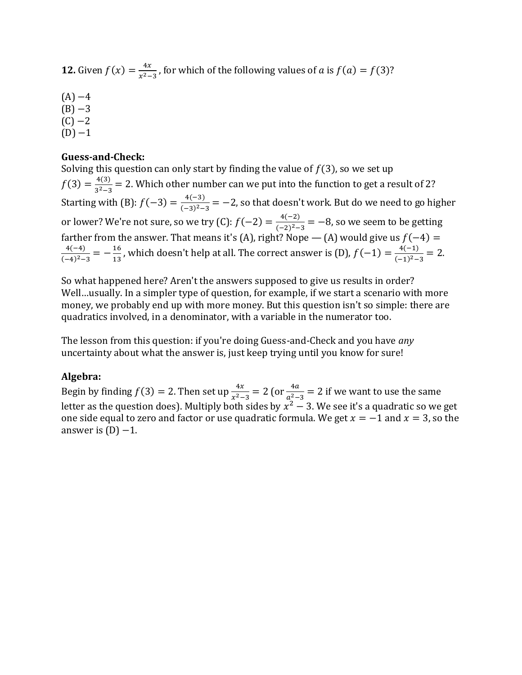**12.** Given  $f(x) = \frac{4x}{x^2}$  $\frac{4x}{x^2-3}$ , for which of the following values of *a* is  $f(a) = f(3)$ ?

 $(A) -4$  $(B) -3$  $(C) -2$ 

 $(D) -1$ 

#### **Guess-and-Check:**

Solving this question can only start by finding the value of  $f(3)$ , so we set up  $f(3) = \frac{4(3)}{3^2}$  $rac{4(3)}{3^2-3}$  = 2. Which other number can we put into the function to get a result of 2? Starting with (B):  $f(-3) = \frac{4(-3)}{6-25}$  $\frac{4(-3)}{(-3)^2-3}$  = -2, so that doesn't work. But do we need to go higher or lower? We're not sure, so we try (C):  $f(-2) = \frac{4(-2)}{6-2}$  $\frac{4(-2)}{(-2)^2-3} = -8$ , so we seem to be getting farther from the answer. That means it's (A), right? Nope — (A) would give us  $f(-4)$  = 4(−4)  $\frac{4(-4)}{(-4)^2-3} = -\frac{16}{13}$  $\frac{16}{13}$ , which doesn't help at all. The correct answer is (D),  $f(-1) = \frac{4(-1)}{(-1)^2-1}$  $\frac{4(-1)}{(-1)^2-3} = 2.$ 

So what happened here? Aren't the answers supposed to give us results in order? Well…usually. In a simpler type of question, for example, if we start a scenario with more money, we probably end up with more money. But this question isn't so simple: there are quadratics involved, in a denominator, with a variable in the numerator too.

The lesson from this question: if you're doing Guess-and-Check and you have *any*  uncertainty about what the answer is, just keep trying until you know for sure!

#### **Algebra:**

Begin by finding  $f(3) = 2$ . Then set up  $\frac{4x}{x^2-3} = 2$  (or  $\frac{4a}{a^2-3} = 2$  if we want to use the same letter as the question does). Multiply both sides by  $x^2 - 3$ . We see it's a quadratic so we get one side equal to zero and factor or use quadratic formula. We get  $x = -1$  and  $x = 3$ , so the answer is  $(D) - 1$ .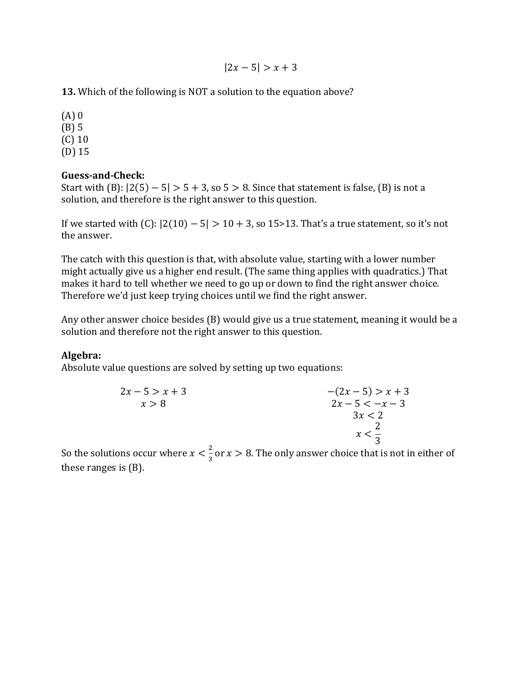$|2x - 5| > x + 3$ 

**13.** Which of the following is NOT a solution to the equation above?

(A) 0 (B) 5 (C) 10 (D) 15

## **Guess-and-Check:**

Start with (B):  $|2(5) - 5| > 5 + 3$ , so  $5 > 8$ . Since that statement is false, (B) is not a solution, and therefore is the right answer to this question.

If we started with  $(C)$ :  $|2(10) - 5| > 10 + 3$ , so 15>13. That's a true statement, so it's not the answer.

The catch with this question is that, with absolute value, starting with a lower number might actually give us a higher end result. (The same thing applies with quadratics.) That makes it hard to tell whether we need to go up or down to find the right answer choice. Therefore we'd just keep trying choices until we find the right answer.

Any other answer choice besides (B) would give us a true statement, meaning it would be a solution and therefore not the right answer to this question.

## **Algebra:**

Absolute value questions are solved by setting up two equations:

| $2x - 5 > x + 3$ | $-(2x-5) > x+3$   |
|------------------|-------------------|
| x > 8            | $2x - 5 < -x - 3$ |
|                  | 3x < 2            |
|                  |                   |
|                  | $x < \frac{1}{2}$ |
|                  |                   |

So the solutions occur where  $x < \frac{2}{3}$  $\frac{2}{3}$  or  $x > 8$ . The only answer choice that is not in either of these ranges is (B).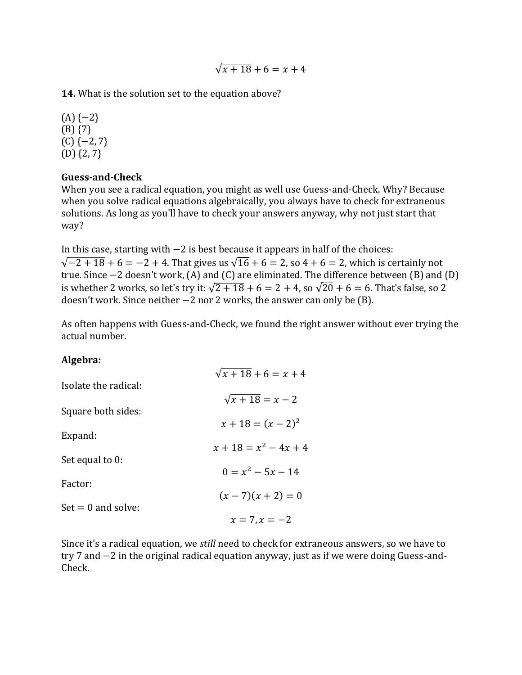$\sqrt{x+18} + 6 = x + 4$ 

**14.** What is the solution set to the equation above?

 $(A)$  {−2} (B) {7}  $(C)$  { $-2, 7$ } (D) {2, 7}

## **Guess-and-Check**

When you see a radical equation, you might as well use Guess-and-Check. Why? Because when you solve radical equations algebraically, you always have to check for extraneous solutions. As long as you'll have to check your answers anyway, why not just start that way?

In this case, starting with −2 is best because it appears in half of the choices:  $\sqrt{-2 + 18} + 6 = -2 + 4$ . That gives us  $\sqrt{16} + 6 = 2$ , so  $4 + 6 = 2$ , which is certainly not true. Since −2 doesn't work, (A) and (C) are eliminated. The difference between (B) and (D) is whether 2 works, so let's try it:  $\sqrt{2+18}+6=2+4$ , so  $\sqrt{20}+6=6$ . That's false, so 2 doesn't work. Since neither −2 nor 2 works, the answer can only be (B).

As often happens with Guess-and-Check, we found the right answer without ever trying the actual number.

## **Algebra:**

|                      | $\sqrt{x+18} + 6 = x + 4$ |
|----------------------|---------------------------|
| Isolate the radical: |                           |
|                      | $\sqrt{x+18} = x-2$       |
| Square both sides:   |                           |
|                      | $x + 18 = (x - 2)^2$      |
| Expand:              | $x + 18 = x^2 - 4x + 4$   |
| Set equal to 0:      |                           |
|                      | $0 = x^2 - 5x - 14$       |
| Factor:              |                           |
|                      | $(x-7)(x+2)=0$            |
| $Set = 0$ and solve: |                           |
|                      | $x = 7, x = -2$           |

Since it's a radical equation, we *still* need to check for extraneous answers, so we have to try 7 and −2 in the original radical equation anyway, just as if we were doing Guess-and-Check.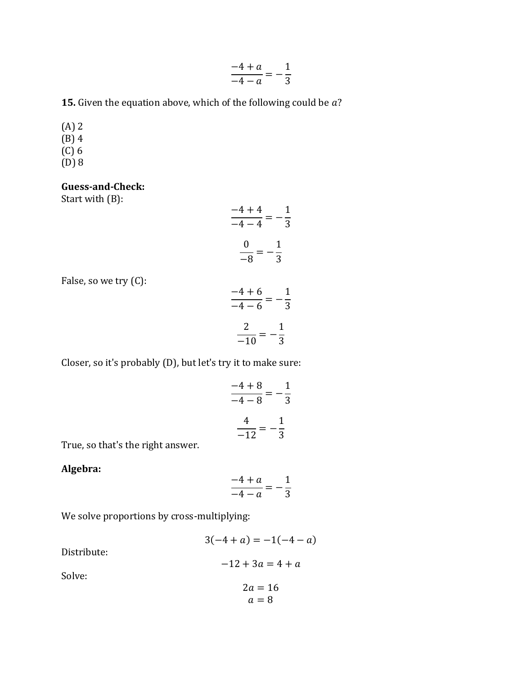| $4 + a$ |  |               |
|---------|--|---------------|
| $4-a$   |  | $\mathcal{L}$ |

**15.** Given the equation above, which of the following could be  $a$ ?

- (A) 2  $(B)$  4  $(C)$  6
- (D) 8

#### **Guess-and-Check:**

Start with (B):

$$
\frac{-4+4}{-4-4} = -\frac{1}{3}
$$

$$
\frac{0}{-8} = -\frac{1}{3}
$$

False, so we try (C):

$$
\frac{-4+6}{-4-6} = -\frac{1}{3}
$$

$$
\frac{2}{-10} = -\frac{1}{3}
$$

Closer, so it's probably (D), but let's try it to make sure:

$$
\frac{-4+8}{-4-8} = -\frac{1}{3}
$$

$$
\frac{4}{-12} = -\frac{1}{3}
$$

True, so that's the right answer.

## **Algebra:**

$$
\frac{-4 + a}{-4 - a} = -\frac{1}{3}
$$

We solve proportions by cross-multiplying:

| $3(-4 + a) = -1(-4 - a)$ |
|--------------------------|
| $-12 + 3a = 4 + a$       |
| $2a = 16$<br>$a=8$       |
|                          |

Distribute:

Solve: